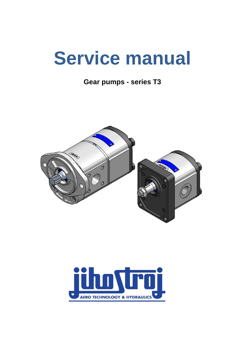# **Service manual**

**Gear pumps - series T3**



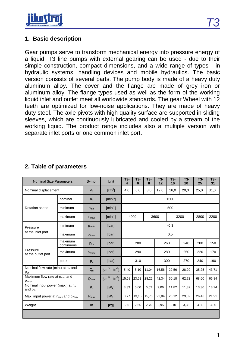

#### **1. Basic description**

Gear pumps serve to transform mechanical energy into pressure energy of a liquid. T3 line pumps with external gearing can be used - due to their simple construction, compact dimensions, and a wide range of types - in hydraulic systems, handling devices and mobile hydraulics. The basic version consists of several parts. The pump body is made of a heavy duty aluminum alloy. The cover and the flange are made of grey iron or aluminum alloy. The flange types used as well as the form of the working liquid inlet and outlet meet all worldwide standards. The gear Wheel with 12 teeth are optimized for low-noise applications. They are made of heavy duty steel. The axle pivots with high quality surface are supported in sliding sleeves, which are continuously lubricated and cooled by a stream of the working liquid. The product range includes also a multiple version with separate inlet ports or one common inlet port.

| <b>Nominal Size Parameters</b>                               |                       | Symb.            | Unit                                    | T3-<br>$\boldsymbol{\Delta}$ | T3-<br>6 | T3-<br>8 | T3-<br>12 | T3-<br>16 | $T3-$<br>20 | T3-<br>25 | $T3-$<br>31 |
|--------------------------------------------------------------|-----------------------|------------------|-----------------------------------------|------------------------------|----------|----------|-----------|-----------|-------------|-----------|-------------|
| Nominal displacement                                         |                       | $V_{q}$          | $\text{[cm}^3$                          | 4,0                          | 6,0      | 8,0      | 12,0      | 16,0      | 20,0        | 25,0      | 31,0        |
|                                                              | nominal               | $n_{n}$          | $\left[\text{min}^{-1}\right]$          | 1500                         |          |          |           |           |             |           |             |
| Rotation speed                                               | minimum               | $n_{\min}$       | $\lceil \text{min}^{-1} \rceil$         | 500                          |          |          |           |           |             |           |             |
|                                                              | maximum               | $n_{\text{max}}$ | $\lceil \text{min}^{-1} \rceil$         | 4000                         |          | 3600     | 3200      |           | 2800        | 2200      |             |
| Pressure<br>at the inlet port                                | minimum               | $p_{1min}$       | [bar]                                   | $-0,3$                       |          |          |           |           |             |           |             |
|                                                              | maximum               | $p_{1max}$       | [bar]                                   | 0,5                          |          |          |           |           |             |           |             |
| Pressure<br>at the outlet port                               | maximum<br>continuous | $p_{2n}$         | [bar]                                   | 280                          |          |          | 260       |           | 240         | 200       | 150         |
|                                                              | maximum               | $p_{2max}$       | [bar]                                   | 290                          |          | 280      |           | 250       | 220         | 170       |             |
|                                                              | peak                  | $p_3$            | [bar]                                   | 310                          |          | 300      |           | 270       | 240         | 190       |             |
| Nominal flow rate (min.) at n <sub>o</sub> and<br>$p_{2n}$   |                       | $Q_{n}$          | $\text{Idm}^3 \text{.} \text{min}^{-1}$ | 5,40                         | 8,10     | 11,04    | 16,56     | 22,56     | 28,20       | 35,25     | 43,71       |
| Maximum flow rate at n <sub>max</sub> and<br>$p_{2max}$      |                       | $Q_{\text{max}}$ | $\text{Idm}^3 \text{.} \text{min}^{-1}$ | 15,68                        | 23,52    | 28,22    | 42,34     | 50,18     | 62,72       | 68,60     | 66,84       |
| Nominal input power (max.) at n <sub>n</sub><br>and $p_{2n}$ |                       | $P_n$            | [kW]                                    | 3,33                         | 5,00     | 6,52     | 9,06      | 11,82     | 11,82       | 13,30     | 13,74       |
| Max. input power at $n_{max}$ and $p_{2max}$                 |                       | $P_{\text{max}}$ | [kW]                                    | 8,77                         | 13,15    | 15,78    | 22,04     | 26,12     | 29,02       | 26,46     | 21,91       |
| Weight                                                       |                       | m                | [kg]                                    | 2,6                          | 2,65     | 2,75     | 2,95      | 3,10      | 3,35        | 3,50      | 3,80        |
|                                                              |                       |                  |                                         |                              |          |          |           |           |             |           |             |

# **2. Table of parameters**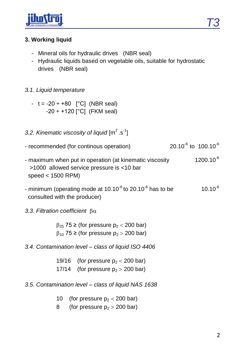

# **3. Working liquid**

- Mineral oils for hydraulic drives (NBR seal)
- Hydraulic liquids based on vegetable oils, suitable for hydrostatic drives (NBR seal)

#### *3.1. Liquid temperature*

 $- t = -20 \div +80$  [°C] (NBR seal) -20 ÷ +120 [°C] (FKM seal)

## 3.2. Kinematic viscosity of liquid [m<sup>2</sup>.s<sup>-1</sup>]

- recommended (for continous operation) 20.10<sup>-6</sup> to 100.10<sup>-6</sup>
- maximum when put in operation (at kinematic viscosity  $1200.10^{-6}$  >1000 allowed service pressure is <10 bar speed < 1500 RPM)
- minimum (operating mode at 10.10<sup>-6</sup> to 20.10<sup>-6</sup> has to be  $10.10^{-6}$ consulted with the producer)

### *3.3. Filtration coefficient*

 $\beta_{25}$  75 ≥ (for pressure  $p_2 < 200$  bar)  $\beta_{10}$  75 ≥ (for pressure  $p_2 > 200$  bar)

*3.4. Contamination level – class of liquid ISO 4406*

19/16 (for pressure  $p_2 < 200$  bar)

- 17/14 (for pressure  $p_2 > 200$  bar)
- *3.5. Contamination level – class of liquid NAS 1638*
	- 10 (for pressure  $p_2 < 200$  bar)
	- 8 (for pressure  $p_2 > 200$  bar)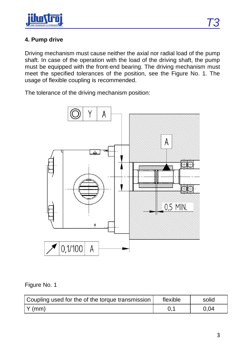

# **4. Pump drive**

Driving mechanism must cause neither the axial nor radial load of the pump shaft. In case of the operation with the load of the driving shaft, the pump must be equipped with the front-end bearing. The driving mechanism must meet the specified tolerances of the position, see the Figure No. 1. The usage of flexible coupling is recommended.

The tolerance of the driving mechanism position:



Figure No. 1

| Coupling used for the of the torque transmission | flexible | solid |
|--------------------------------------------------|----------|-------|
| $\vert$ Y (mm)                                   |          | 0.04  |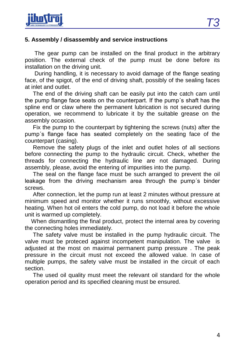

#### **5. Assembly / disassembly and service instructions**

 The gear pump can be installed on the final product in the arbitrary position. The external check of the pump must be done before its installation on the driving unit.

 During handling, it is necessary to avoid damage of the flange seating face, of the spigot, of the end of driving shaft, possibly of the sealing faces at inlet and outlet.

 The end of the driving shaft can be easily put into the catch cam until the pump flange face seats on the counterpart. If the pump´s shaft has the spline end or claw where the permanent lubrication is not secured during operation, we recommend to lubricate it by the suitable grease on the assembly occasion.

 Fix the pump to the counterpart by tightening the screws (nuts) after the pump´s flange face has seated completely on the seating face of the counterpart (casing).

 Remove the safety plugs of the inlet and outlet holes of all sections before connecting the pump to the hydraulic circuit. Check, whether the threads for connecting the hydraulic line are not damaged. During assembly, please, avoid the entering of impurities into the pump.

 The seal on the flange face must be such arranged to prevent the oil leakage from the driving mechanism area through the pump´s binder screws.

 After connection, let the pump run at least 2 minutes without pressure at minimum speed and monitor whether it runs smoothly, without excessive heating. When hot oil enters the cold pump, do not load it before the whole unit is warmed up completely.

 When dismantling the final product, protect the internal area by covering the connecting holes immediately.

 The safety valve must be installed in the pump hydraulic circuit. The valve must be proteced against incompetent manipulation. The valve is adjusted at the most on maximal permanent pump pressure . The peak pressure in the circuit must not exceed the allowed value. In case of multiple pumps, the safety valve must be installed in the circuit of each section.

 The used oil quality must meet the relevant oil standard for the whole operation period and its specified cleaning must be ensured.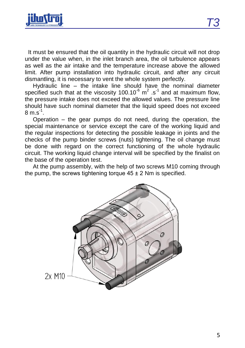

 It must be ensured that the oil quantity in the hydraulic circuit will not drop under the value when, in the inlet branch area, the oil turbulence appears as well as the air intake and the temperature increase above the allowed limit. After pump installation into hydraulic circuit, and after any circuit dismantling, it is necessary to vent the whole system perfectly.

 Hydraulic line – the intake line should have the nominal diameter specified such that at the viscosity 100.10 $^6$  m<sup>2</sup> .s<sup>-1</sup> and at maximum flow, the pressure intake does not exceed the allowed values. The pressure line should have such nominal diameter that the liquid speed does not exceed  $8 \text{ m.s}^1$ .

 Operation – the gear pumps do not need, during the operation, the special maintenance or service except the care of the working liquid and the regular inspections for detecting the possible leakage in joints and the checks of the pump binder screws (nuts) tightening. The oil change must be done with regard on the correct functioning of the whole hydraulic circuit. The working liquid change interval will be specified by the finalist on the base of the operation test.

 At the pump assembly, with the help of two screws M10 coming through the pump, the screws tightening torque  $45 \pm 2$  Nm is specified.

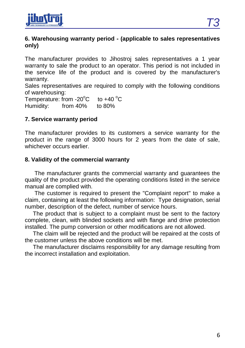

#### **6. Warehousing warranty period - (applicable to sales representatives only)**

The manufacturer provides to Jihostroj sales representatives a 1 year warranty to sale the product to an operator. This period is not included in the service life of the product and is covered by the manufacturer's warranty.

Sales representatives are required to comply with the following conditions of warehousing:

Temperature: from  $-20^{\circ}$ C to  $+40^{\circ}$ C Humidity: from 40% to 80%

### **7. Service warranty period**

The manufacturer provides to its customers a service warranty for the product in the range of 3000 hours for 2 years from the date of sale, whichever occurs earlier.

#### **8. Validity of the commercial warranty**

 The manufacturer grants the commercial warranty and guarantees the quality of the product provided the operating conditions listed in the service manual are complied with.

 The customer is required to present the "Complaint report" to make a claim, containing at least the following information: Type designation, serial number, description of the defect, number of service hours.

 The product that is subject to a complaint must be sent to the factory complete, clean, with blinded sockets and with flange and drive protection installed. The pump conversion or other modifications are not allowed.

 The claim will be rejected and the product will be repaired at the costs of the customer unless the above conditions will be met.

 The manufacturer disclaims responsibility for any damage resulting from the incorrect installation and exploitation.